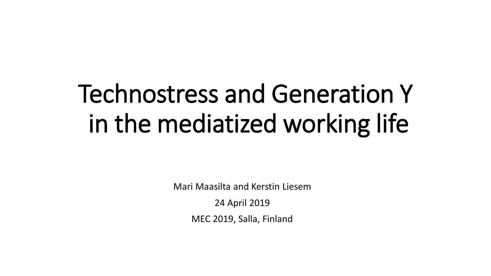# Technostress and Generation Y in the mediatized working life

Mari Maasilta and Kerstin Liesem

24 April 2019

MEC 2019, Salla, Finland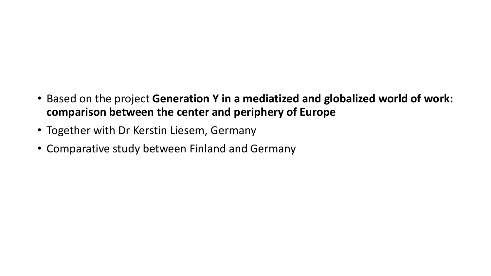- Based on the project **Generation Y in a mediatized and globalized world of work: comparison between the center and periphery of Europe**
- Together with Dr Kerstin Liesem, Germany
- Comparative study between Finland and Germany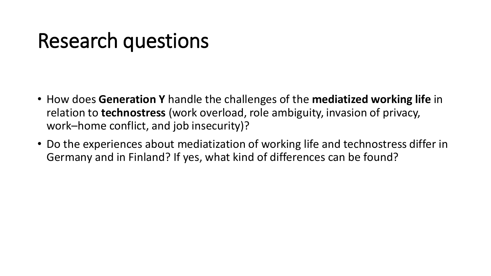#### Research questions

- How does **Generation Y** handle the challenges of the **mediatized working life** in relation to **technostress** (work overload, role ambiguity, invasion of privacy, work–home conflict, and job insecurity)?
- Do the experiences about mediatization of working life and technostress differ in Germany and in Finland? If yes, what kind of differences can be found?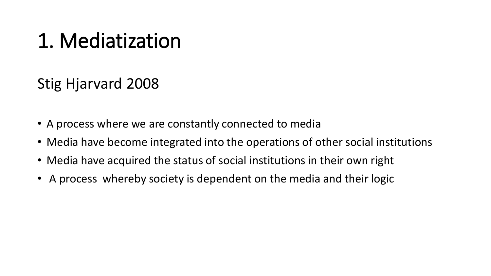### 1. Mediatization

Stig Hjarvard 2008

- A process where we are constantly connected to media
- Media have become integrated into the operations of other social institutions
- Media have acquired the status of social institutions in their own right
- A process whereby society is dependent on the media and their logic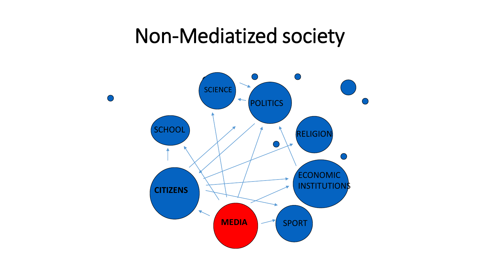#### Non-Mediatized society

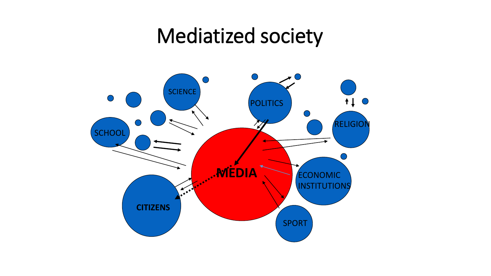#### Mediatized society

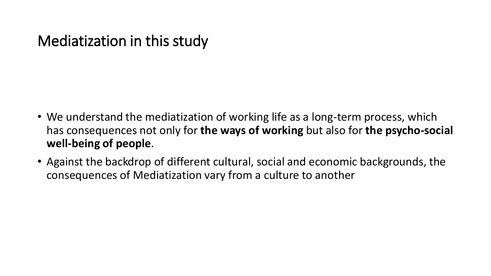#### Mediatization in this study

- We understand the mediatization of working life as a long-term process, which has consequences not only for **the ways of working** but also for **the psycho-social well-being of people**.
- Against the backdrop of different cultural, social and economic backgrounds, the consequences of Mediatization vary from a culture to another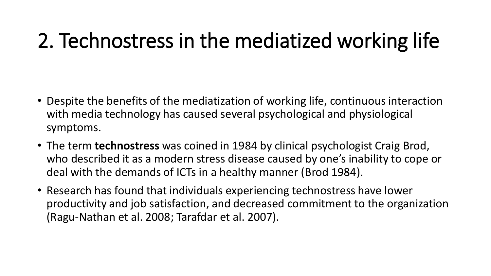## 2. Technostress in the mediatized working life

- Despite the benefits of the mediatization of working life, continuous interaction with media technology has caused several psychological and physiological symptoms.
- The term **technostress** was coined in 1984 by clinical psychologist Craig Brod, who described it as a modern stress disease caused by one's inability to cope or deal with the demands of ICTs in a healthy manner (Brod 1984).
- Research has found that individuals experiencing technostress have lower productivity and job satisfaction, and decreased commitment to the organization (Ragu-Nathan et al. 2008; Tarafdar et al. 2007).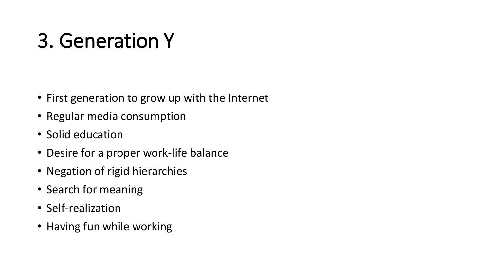## 3. Generation Y

- First generation to grow up with the Internet
- Regular media consumption
- Solid education
- Desire for a proper work-life balance
- Negation of rigid hierarchies
- Search for meaning
- Self-realization
- Having fun while working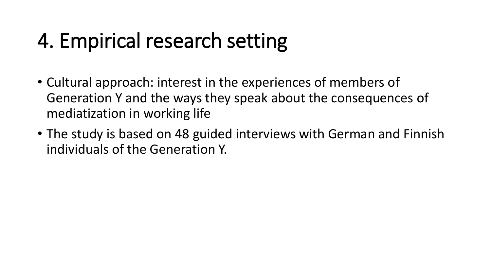### 4. Empirical research setting

- Cultural approach: interest in the experiences of members of Generation Y and the ways they speak about the consequences of mediatization in working life
- The study is based on 48 guided interviews with German and Finnish individuals of the Generation Y.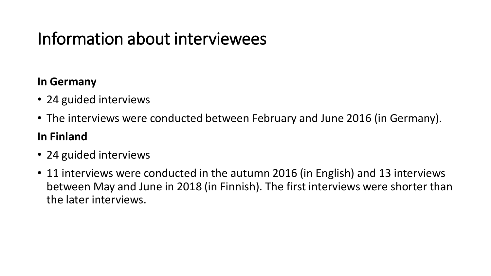#### Information about interviewees

#### **In Germany**

- 24 guided interviews
- The interviews were conducted between February and June 2016 (in Germany).

#### **In Finland**

- 24 guided interviews
- 11 interviews were conducted in the autumn 2016 (in English) and 13 interviews between May and June in 2018 (in Finnish). The first interviews were shorter than the later interviews.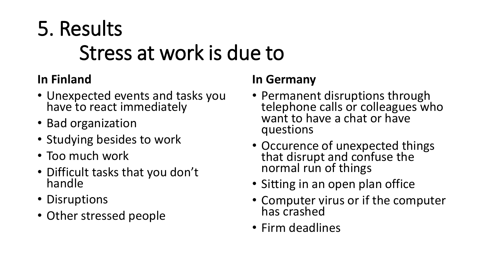## 5. Results Stress at work is due to

#### **In Finland**

- Unexpected events and tasks you have to react immediately
- Bad organization
- Studying besides to work
- Too much work
- Difficult tasks that you don't handle
- Disruptions
- Other stressed people

#### **In Germany**

- Permanent disruptions through telephone calls or colleagues who want to have a chat or have questions
- Occurence of unexpected things that disrupt and confuse the normal run of things
- Sitting in an open plan office
- Computer virus or if the computer has crashed
- Firm deadlines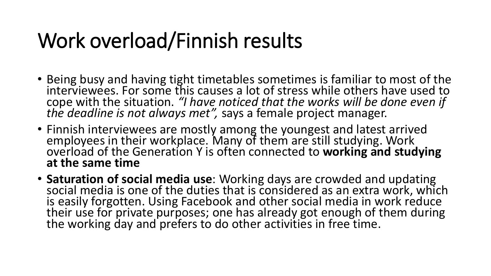## Work overload/Finnish results

- Being busy and having tight timetables sometimes is familiar to most of the interviewees. For some this causes a lot of stress while others have used to cope with the situation. *"I have noticed that the works will be done even if the deadline is not always met",* says a female project manager.
- Finnish interviewees are mostly among the youngest and latest arrived employees in their workplace. Many of them are still studying. Work overload of the Generation Y is often connected to **working and studying at the same time**
- **Saturation of social media use**: Working days are crowded and updating social media is one of the duties that is considered as an extra work, which is easily forgotten. Using Facebook and other social media in work reduce their use for private purposes; one has already got enough of them during the working day and prefers to do other activities in free time.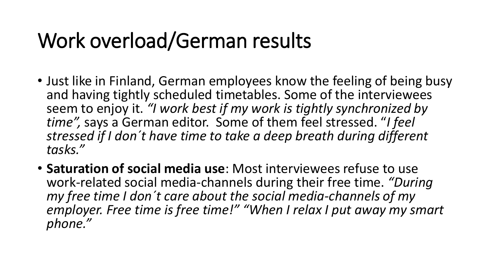## Work overload/German results

- Just like in Finland, German employees know the feeling of being busy and having tightly scheduled timetables. Some of the interviewees seem to enjoy it. *"I work best if my work is tightly synchronized by time",* says a German editor. Some of them feel stressed. "*I feel stressed if I don´t have time to take a deep breath during different tasks."*
- **Saturation of social media use**: Most interviewees refuse to use work-related social media-channels during their free time. *"During my free time I don´t care about the social media-channels of my employer. Free time is free time!" "When I relax I put away my smart phone."*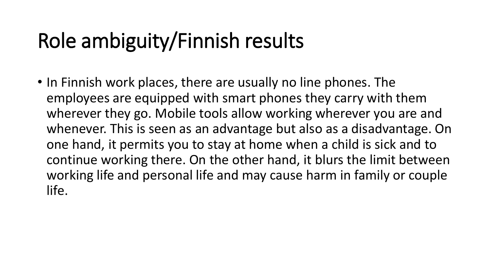## Role ambiguity/Finnish results

• In Finnish work places, there are usually no line phones. The employees are equipped with smart phones they carry with them wherever they go. Mobile tools allow working wherever you are and whenever. This is seen as an advantage but also as a disadvantage. On one hand, it permits you to stay at home when a child is sick and to continue working there. On the other hand, it blurs the limit between working life and personal life and may cause harm in family or couple life.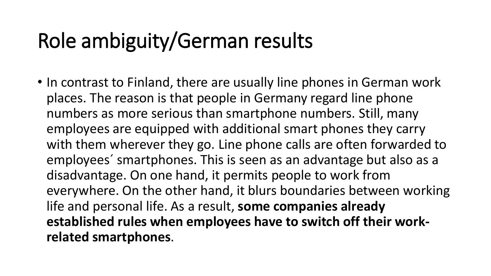## Role ambiguity/German results

• In contrast to Finland, there are usually line phones in German work places. The reason is that people in Germany regard line phone numbers as more serious than smartphone numbers. Still, many employees are equipped with additional smart phones they carry with them wherever they go. Line phone calls are often forwarded to employees´ smartphones. This is seen as an advantage but also as a disadvantage. On one hand, it permits people to work from everywhere. On the other hand, it blurs boundaries between working life and personal life. As a result, **some companies already established rules when employees have to switch off their workrelated smartphones**.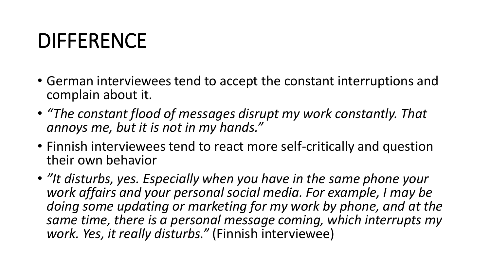### DIFFERENCE

- German interviewees tend to accept the constant interruptions and complain about it.
- *"The constant flood of messages disrupt my work constantly. That annoys me, but it is not in my hands."*
- Finnish interviewees tend to react more self-critically and question their own behavior
- *"It disturbs, yes. Especially when you have in the same phone your work affairs and your personal social media. For example, I may be doing some updating or marketing for my work by phone, and at the same time, there is a personal message coming, which interrupts my work. Yes, it really disturbs."* (Finnish interviewee)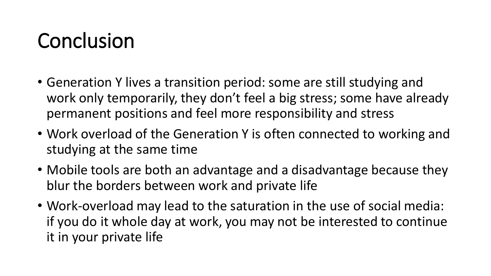## Conclusion

- Generation Y lives a transition period: some are still studying and work only temporarily, they don't feel a big stress; some have already permanent positions and feel more responsibility and stress
- Work overload of the Generation Y is often connected to working and studying at the same time
- Mobile tools are both an advantage and a disadvantage because they blur the borders between work and private life
- Work-overload may lead to the saturation in the use of social media: if you do it whole day at work, you may not be interested to continue it in your private life